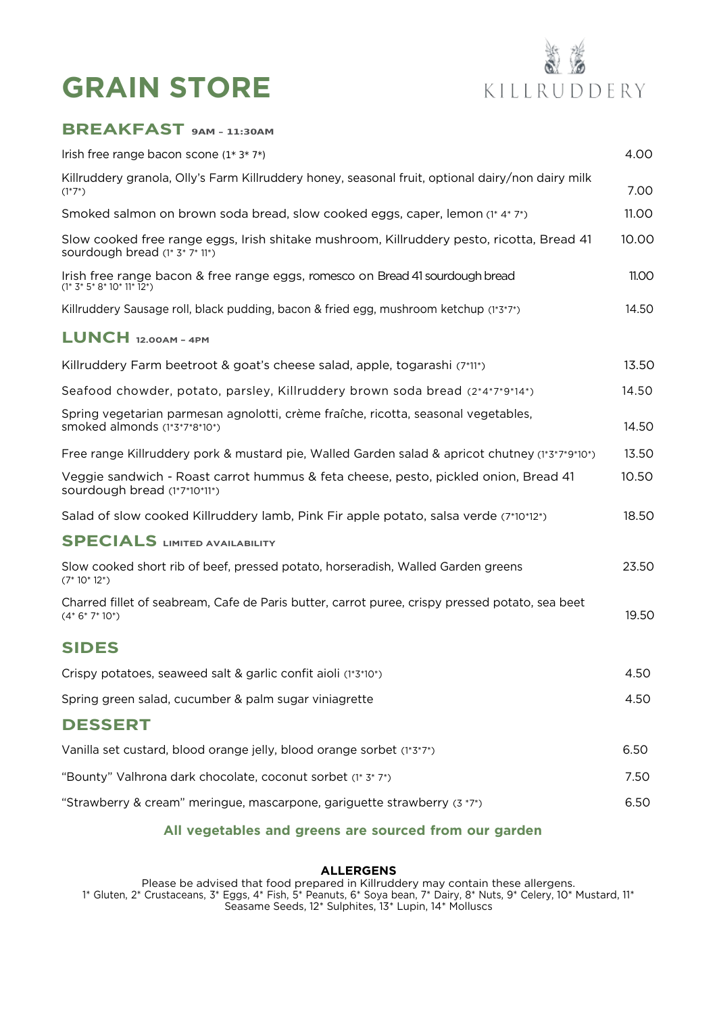# **GRAIN STORE**



### **BREAKFAST 9AM – 11:30AM**

| Irish free range bacon scone $(1^* 3^* 7^*)$                                                                                | 4.00         |
|-----------------------------------------------------------------------------------------------------------------------------|--------------|
| Killruddery granola, Olly's Farm Killruddery honey, seasonal fruit, optional dairy/non dairy milk<br>$(1*7*)$               | 7.00         |
| Smoked salmon on brown soda bread, slow cooked eggs, caper, lemon (1* 4* 7*)                                                | 11.00        |
| Slow cooked free range eggs, Irish shitake mushroom, Killruddery pesto, ricotta, Bread 41<br>sourdough bread (1* 3* 7* 11*) | 10.00        |
| Irish free range bacon & free range eggs, romesco on Bread 41 sourdough bread<br>$(1* 3* 5* 8* 10* 11* 12*)$                | <b>11.00</b> |
| Killruddery Sausage roll, black pudding, bacon & fried egg, mushroom ketchup (1*3*7*)                                       | 14.50        |
| $LUNCH$ 12.00AM - 4PM                                                                                                       |              |
| Killruddery Farm beetroot & goat's cheese salad, apple, togarashi (7*11*)                                                   | 13.50        |
| Seafood chowder, potato, parsley, Killruddery brown soda bread (2*4*7*9*14*)                                                | 14.50        |
| Spring vegetarian parmesan agnolotti, crème fraîche, ricotta, seasonal vegetables,<br>smoked almonds (1*3*7*8*10*)          | 14.50        |
| Free range Killruddery pork & mustard pie, Walled Garden salad & apricot chutney (1*3*7*9*10*)                              | 13.50        |
| Veggie sandwich - Roast carrot hummus & feta cheese, pesto, pickled onion, Bread 41<br>sourdough bread (1*7*10*11*)         | 10.50        |
| Salad of slow cooked Killruddery lamb, Pink Fir apple potato, salsa verde (7*10*12*)                                        | 18.50        |
| <b>SPECIALS LIMITED AVAILABILITY</b>                                                                                        |              |
| Slow cooked short rib of beef, pressed potato, horseradish, Walled Garden greens<br>$(7*10*12*)$                            | 23.50        |
| Charred fillet of seabream, Cafe de Paris butter, carrot puree, crispy pressed potato, sea beet<br>$(4*6*7*10*)$            | 19.50        |
| <b>SIDES</b>                                                                                                                |              |
| Crispy potatoes, seaweed salt & garlic confit aioli (1*3*10*)                                                               | 4.50         |
| Spring green salad, cucumber & palm sugar viniagrette                                                                       | 4.50         |
| <b>DESSERT</b>                                                                                                              |              |
| Vanilla set custard, blood orange jelly, blood orange sorbet (1*3*7*)                                                       | 6.50         |
| "Bounty" Valhrona dark chocolate, coconut sorbet (1* 3* 7*)                                                                 | 7.50         |
| "Strawberry & cream" meringue, mascarpone, gariguette strawberry (3 *7*)                                                    | 6.50         |

### **All vegetables and greens are sourced from our garden**

#### **ALLERGENS**

Please be advised that food prepared in Killruddery may contain these allergens. 1\* Gluten, 2\* Crustaceans, 3\* Eggs, 4\* Fish, 5\* Peanuts, 6\* Soya bean, 7\* Dairy, 8\* Nuts, 9\* Celery, 10\* Mustard, 11\* Seasame Seeds, 12\* Sulphites, 13\* Lupin, 14\* Molluscs